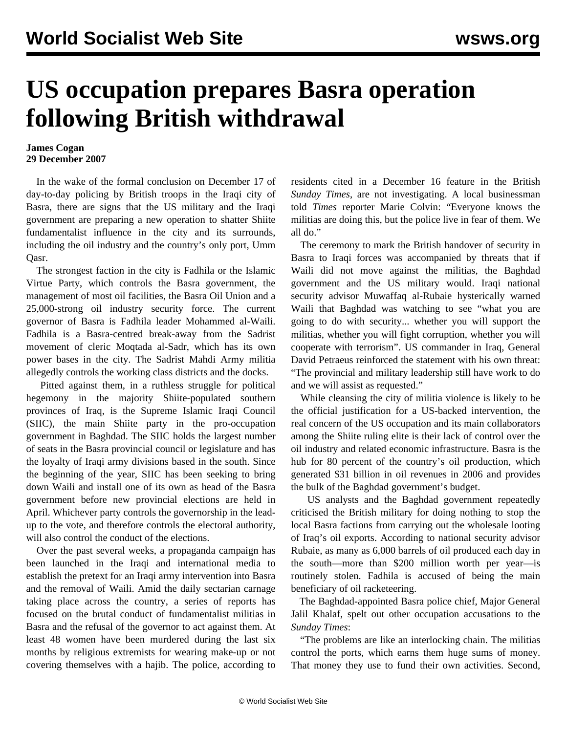## **US occupation prepares Basra operation following British withdrawal**

## **James Cogan 29 December 2007**

 In the wake of the formal conclusion on December 17 of day-to-day policing by British troops in the Iraqi city of Basra, there are signs that the US military and the Iraqi government are preparing a new operation to shatter Shiite fundamentalist influence in the city and its surrounds, including the oil industry and the country's only port, Umm Qasr.

 The strongest faction in the city is Fadhila or the Islamic Virtue Party, which controls the Basra government, the management of most oil facilities, the Basra Oil Union and a 25,000-strong oil industry security force. The current governor of Basra is Fadhila leader Mohammed al-Waili. Fadhila is a Basra-centred break-away from the Sadrist movement of cleric Moqtada al-Sadr, which has its own power bases in the city. The Sadrist Mahdi Army militia allegedly controls the working class districts and the docks.

 Pitted against them, in a ruthless struggle for political hegemony in the majority Shiite-populated southern provinces of Iraq, is the Supreme Islamic Iraqi Council (SIIC), the main Shiite party in the pro-occupation government in Baghdad. The SIIC holds the largest number of seats in the Basra provincial council or legislature and has the loyalty of Iraqi army divisions based in the south. Since the beginning of the year, SIIC has been seeking to bring down Waili and install one of its own as head of the Basra government before new provincial elections are held in April. Whichever party controls the governorship in the leadup to the vote, and therefore controls the electoral authority, will also control the conduct of the elections.

 Over the past several weeks, a propaganda campaign has been launched in the Iraqi and international media to establish the pretext for an Iraqi army intervention into Basra and the removal of Waili. Amid the daily sectarian carnage taking place across the country, a series of reports has focused on the brutal conduct of fundamentalist militias in Basra and the refusal of the governor to act against them. At least 48 women have been murdered during the last six months by religious extremists for wearing make-up or not covering themselves with a hajib. The police, according to residents cited in a December 16 feature in the British *Sunday Times*, are not investigating. A local businessman told *Times* reporter Marie Colvin: "Everyone knows the militias are doing this, but the police live in fear of them. We all do."

 The ceremony to mark the British handover of security in Basra to Iraqi forces was accompanied by threats that if Waili did not move against the militias, the Baghdad government and the US military would. Iraqi national security advisor Muwaffaq al-Rubaie hysterically warned Waili that Baghdad was watching to see "what you are going to do with security... whether you will support the militias, whether you will fight corruption, whether you will cooperate with terrorism". US commander in Iraq, General David Petraeus reinforced the statement with his own threat: "The provincial and military leadership still have work to do and we will assist as requested."

 While cleansing the city of militia violence is likely to be the official justification for a US-backed intervention, the real concern of the US occupation and its main collaborators among the Shiite ruling elite is their lack of control over the oil industry and related economic infrastructure. Basra is the hub for 80 percent of the country's oil production, which generated \$31 billion in oil revenues in 2006 and provides the bulk of the Baghdad government's budget.

 US analysts and the Baghdad government repeatedly criticised the British military for doing nothing to stop the local Basra factions from carrying out the wholesale looting of Iraq's oil exports. According to national security advisor Rubaie, as many as 6,000 barrels of oil produced each day in the south—more than \$200 million worth per year—is routinely stolen. Fadhila is accused of being the main beneficiary of oil racketeering.

 The Baghdad-appointed Basra police chief, Major General Jalil Khalaf, spelt out other occupation accusations to the *Sunday Times*:

 "The problems are like an interlocking chain. The militias control the ports, which earns them huge sums of money. That money they use to fund their own activities. Second,